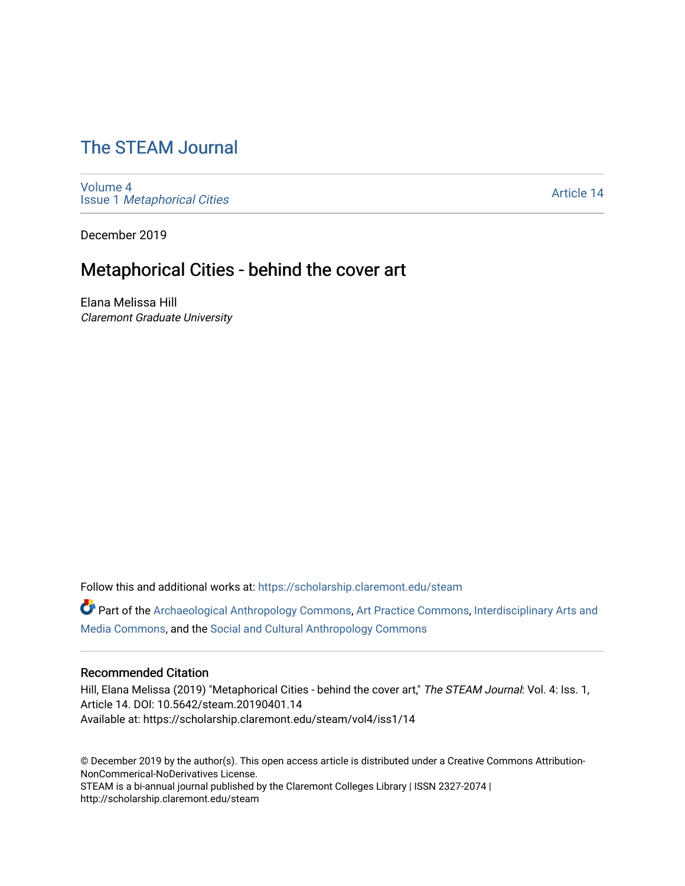# [The STEAM Journal](https://scholarship.claremont.edu/steam)

[Volume 4](https://scholarship.claremont.edu/steam/vol4) Issue 1 [Metaphorical Cities](https://scholarship.claremont.edu/steam/vol4/iss1)

[Article 14](https://scholarship.claremont.edu/steam/vol4/iss1/14) 

December 2019

## Metaphorical Cities - behind the cover art

Elana Melissa Hill Claremont Graduate University

Follow this and additional works at: [https://scholarship.claremont.edu/steam](https://scholarship.claremont.edu/steam?utm_source=scholarship.claremont.edu%2Fsteam%2Fvol4%2Fiss1%2F14&utm_medium=PDF&utm_campaign=PDFCoverPages) 

Part of the [Archaeological Anthropology Commons](https://network.bepress.com/hgg/discipline/319?utm_source=scholarship.claremont.edu%2Fsteam%2Fvol4%2Fiss1%2F14&utm_medium=PDF&utm_campaign=PDFCoverPages), [Art Practice Commons](https://network.bepress.com/hgg/discipline/509?utm_source=scholarship.claremont.edu%2Fsteam%2Fvol4%2Fiss1%2F14&utm_medium=PDF&utm_campaign=PDFCoverPages), [Interdisciplinary Arts and](https://network.bepress.com/hgg/discipline/1137?utm_source=scholarship.claremont.edu%2Fsteam%2Fvol4%2Fiss1%2F14&utm_medium=PDF&utm_campaign=PDFCoverPages)  [Media Commons](https://network.bepress.com/hgg/discipline/1137?utm_source=scholarship.claremont.edu%2Fsteam%2Fvol4%2Fiss1%2F14&utm_medium=PDF&utm_campaign=PDFCoverPages), and the [Social and Cultural Anthropology Commons](https://network.bepress.com/hgg/discipline/323?utm_source=scholarship.claremont.edu%2Fsteam%2Fvol4%2Fiss1%2F14&utm_medium=PDF&utm_campaign=PDFCoverPages) 

#### Recommended Citation

Hill, Elana Melissa (2019) "Metaphorical Cities - behind the cover art," The STEAM Journal: Vol. 4: Iss. 1, Article 14. DOI: 10.5642/steam.20190401.14 Available at: https://scholarship.claremont.edu/steam/vol4/iss1/14

© December 2019 by the author(s). This open access article is distributed under a Creative Commons Attribution-NonCommerical-NoDerivatives License. STEAM is a bi-annual journal published by the Claremont Colleges Library | ISSN 2327-2074 |

http://scholarship.claremont.edu/steam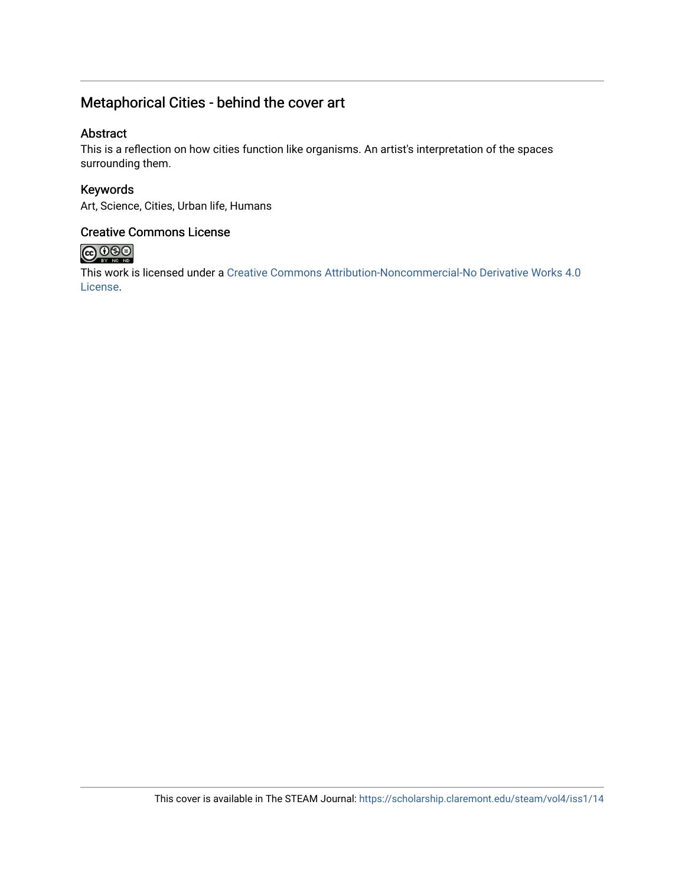### Metaphorical Cities - behind the cover art

#### Abstract

This is a reflection on how cities function like organisms. An artist's interpretation of the spaces surrounding them.

Keywords Art, Science, Cities, Urban life, Humans

#### Creative Commons License



This work is licensed under a [Creative Commons Attribution-Noncommercial-No Derivative Works 4.0](https://creativecommons.org/licenses/by-nc-nd/4.0/) [License](https://creativecommons.org/licenses/by-nc-nd/4.0/).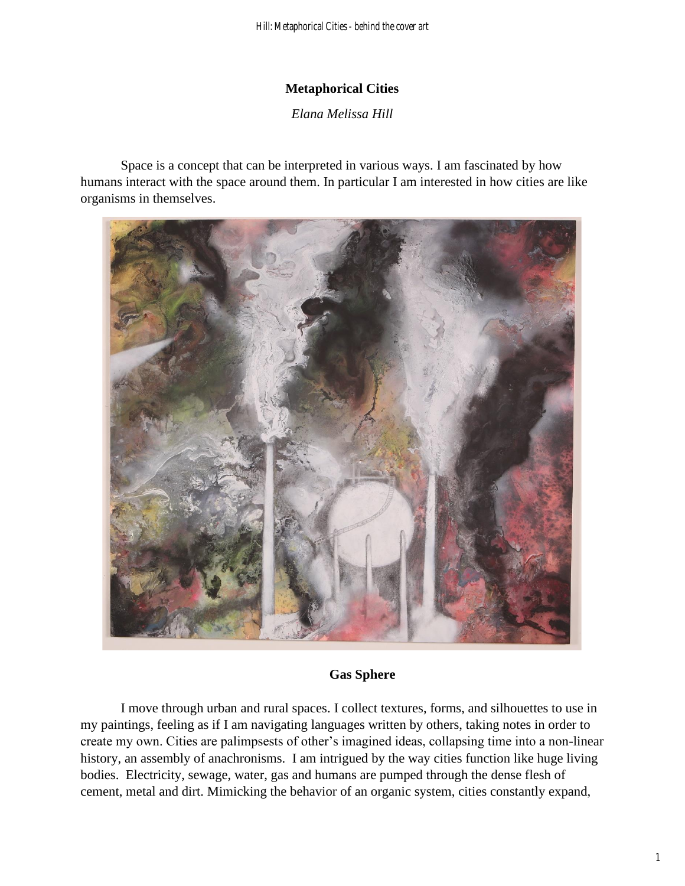#### **Metaphorical Cities**

*Elana Melissa Hill* 

Space is a concept that can be interpreted in various ways. I am fascinated by how humans interact with the space around them. In particular I am interested in how cities are like organisms in themselves.



#### **Gas Sphere**

I move through urban and rural spaces. I collect textures, forms, and silhouettes to use in my paintings, feeling as if I am navigating languages written by others, taking notes in order to create my own. Cities are palimpsests of other's imagined ideas, collapsing time into a non-linear history, an assembly of anachronisms. I am intrigued by the way cities function like huge living bodies. Electricity, sewage, water, gas and humans are pumped through the dense flesh of cement, metal and dirt. Mimicking the behavior of an organic system, cities constantly expand,

1